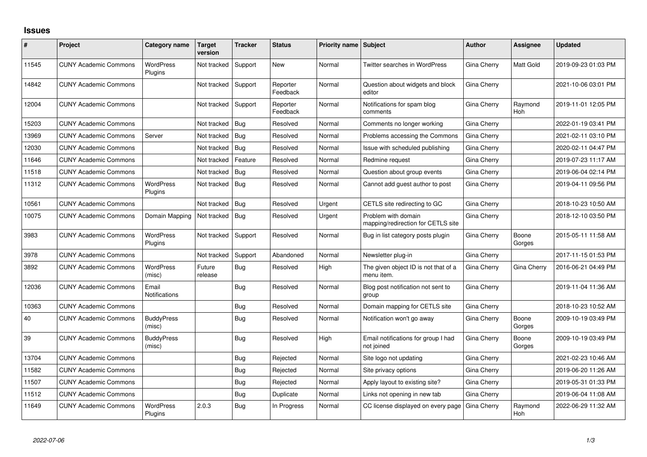## **Issues**

| #     | Project                      | Category name               | Target<br>version | <b>Tracker</b> | <b>Status</b>        | <b>Priority name Subject</b> |                                                           | <b>Author</b> | Assignee        | <b>Updated</b>      |
|-------|------------------------------|-----------------------------|-------------------|----------------|----------------------|------------------------------|-----------------------------------------------------------|---------------|-----------------|---------------------|
| 11545 | <b>CUNY Academic Commons</b> | <b>WordPress</b><br>Plugins | Not tracked       | Support        | New                  | Normal                       | Twitter searches in WordPress                             | Gina Cherry   | Matt Gold       | 2019-09-23 01:03 PM |
| 14842 | <b>CUNY Academic Commons</b> |                             | Not tracked       | Support        | Reporter<br>Feedback | Normal                       | Question about widgets and block<br>editor                | Gina Cherry   |                 | 2021-10-06 03:01 PM |
| 12004 | <b>CUNY Academic Commons</b> |                             | Not tracked       | Support        | Reporter<br>Feedback | Normal                       | Notifications for spam blog<br>comments                   | Gina Cherry   | Raymond<br>Hoh  | 2019-11-01 12:05 PM |
| 15203 | <b>CUNY Academic Commons</b> |                             | Not tracked       | Bug            | Resolved             | Normal                       | Comments no longer working                                | Gina Cherry   |                 | 2022-01-19 03:41 PM |
| 13969 | <b>CUNY Academic Commons</b> | Server                      | Not tracked       | Bug            | Resolved             | Normal                       | Problems accessing the Commons                            | Gina Cherry   |                 | 2021-02-11 03:10 PM |
| 12030 | <b>CUNY Academic Commons</b> |                             | Not tracked       | Bug            | Resolved             | Normal                       | Issue with scheduled publishing                           | Gina Cherry   |                 | 2020-02-11 04:47 PM |
| 11646 | <b>CUNY Academic Commons</b> |                             | Not tracked       | Feature        | Resolved             | Normal                       | Redmine request                                           | Gina Cherry   |                 | 2019-07-23 11:17 AM |
| 11518 | <b>CUNY Academic Commons</b> |                             | Not tracked       | Bug            | Resolved             | Normal                       | Question about group events                               | Gina Cherry   |                 | 2019-06-04 02:14 PM |
| 11312 | <b>CUNY Academic Commons</b> | <b>WordPress</b><br>Plugins | Not tracked       | Bug            | Resolved             | Normal                       | Cannot add guest author to post                           | Gina Cherry   |                 | 2019-04-11 09:56 PM |
| 10561 | <b>CUNY Academic Commons</b> |                             | Not tracked       | Bug            | Resolved             | Urgent                       | CETLS site redirecting to GC                              | Gina Cherry   |                 | 2018-10-23 10:50 AM |
| 10075 | <b>CUNY Academic Commons</b> | Domain Mapping              | Not tracked       | Bug            | Resolved             | Urgent                       | Problem with domain<br>mapping/redirection for CETLS site | Gina Cherry   |                 | 2018-12-10 03:50 PM |
| 3983  | <b>CUNY Academic Commons</b> | <b>WordPress</b><br>Plugins | Not tracked       | Support        | Resolved             | Normal                       | Bug in list category posts plugin                         | Gina Cherry   | Boone<br>Gorges | 2015-05-11 11:58 AM |
| 3978  | <b>CUNY Academic Commons</b> |                             | Not tracked       | Support        | Abandoned            | Normal                       | Newsletter plug-in                                        | Gina Cherry   |                 | 2017-11-15 01:53 PM |
| 3892  | <b>CUNY Academic Commons</b> | <b>WordPress</b><br>(misc)  | Future<br>release | Bug            | Resolved             | High                         | The given object ID is not that of a<br>menu item.        | Gina Cherry   | Gina Cherry     | 2016-06-21 04:49 PM |
| 12036 | <b>CUNY Academic Commons</b> | Email<br>Notifications      |                   | Bug            | Resolved             | Normal                       | Blog post notification not sent to<br>group               | Gina Cherry   |                 | 2019-11-04 11:36 AM |
| 10363 | <b>CUNY Academic Commons</b> |                             |                   | Bug            | Resolved             | Normal                       | Domain mapping for CETLS site                             | Gina Cherry   |                 | 2018-10-23 10:52 AM |
| 40    | <b>CUNY Academic Commons</b> | <b>BuddyPress</b><br>(misc) |                   | Bug            | Resolved             | Normal                       | Notification won't go away                                | Gina Cherry   | Boone<br>Gorges | 2009-10-19 03:49 PM |
| 39    | <b>CUNY Academic Commons</b> | <b>BuddyPress</b><br>(misc) |                   | Bug            | Resolved             | High                         | Email notifications for group I had<br>not ioined         | Gina Cherry   | Boone<br>Gorges | 2009-10-19 03:49 PM |
| 13704 | <b>CUNY Academic Commons</b> |                             |                   | Bug            | Rejected             | Normal                       | Site logo not updating                                    | Gina Cherry   |                 | 2021-02-23 10:46 AM |
| 11582 | <b>CUNY Academic Commons</b> |                             |                   | Bug            | Rejected             | Normal                       | Site privacy options                                      | Gina Cherry   |                 | 2019-06-20 11:26 AM |
| 11507 | <b>CUNY Academic Commons</b> |                             |                   | Bug            | Rejected             | Normal                       | Apply layout to existing site?                            | Gina Cherry   |                 | 2019-05-31 01:33 PM |
| 11512 | <b>CUNY Academic Commons</b> |                             |                   | Bug            | Duplicate            | Normal                       | Links not opening in new tab                              | Gina Cherry   |                 | 2019-06-04 11:08 AM |
| 11649 | <b>CUNY Academic Commons</b> | <b>WordPress</b><br>Plugins | 2.0.3             | Bug            | In Progress          | Normal                       | CC license displayed on every page                        | Gina Cherry   | Raymond<br>Hoh  | 2022-06-29 11:32 AM |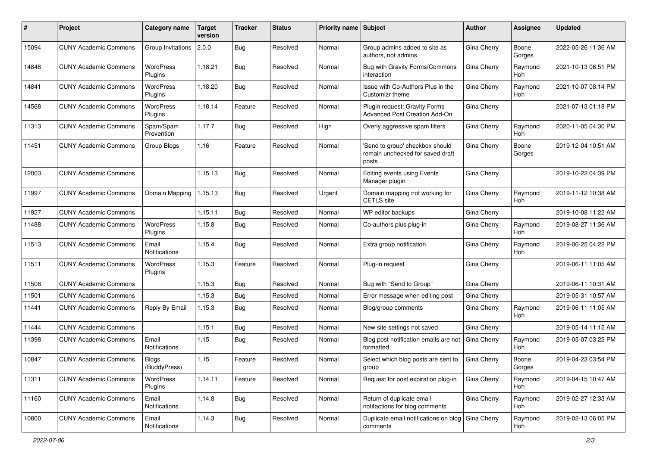| #     | Project                      | <b>Category name</b>          | <b>Target</b><br>version | <b>Tracker</b> | <b>Status</b> | <b>Priority name Subject</b> |                                                                              | Author             | <b>Assignee</b>       | <b>Updated</b>      |
|-------|------------------------------|-------------------------------|--------------------------|----------------|---------------|------------------------------|------------------------------------------------------------------------------|--------------------|-----------------------|---------------------|
| 15094 | <b>CUNY Academic Commons</b> | Group Invitations             | 2.0.0                    | <b>Bug</b>     | Resolved      | Normal                       | Group admins added to site as<br>authors, not admins                         | Gina Cherry        | Boone<br>Gorges       | 2022-05-26 11:36 AM |
| 14848 | <b>CUNY Academic Commons</b> | <b>WordPress</b><br>Plugins   | 1.18.21                  | Bug            | Resolved      | Normal                       | Bug with Gravity Forms/Commons<br>interaction                                | Gina Cherry        | Raymond<br>Hoh        | 2021-10-13 06:51 PM |
| 14841 | <b>CUNY Academic Commons</b> | <b>WordPress</b><br>Plugins   | 1.18.20                  | <b>Bug</b>     | Resolved      | Normal                       | Issue with Co-Authors Plus in the<br>Customizr theme                         | Gina Cherry        | Raymond<br>Hoh        | 2021-10-07 08:14 PM |
| 14568 | <b>CUNY Academic Commons</b> | WordPress<br>Plugins          | 1.18.14                  | Feature        | Resolved      | Normal                       | Plugin request: Gravity Forms<br><b>Advanced Post Creation Add-On</b>        | Gina Cherry        |                       | 2021-07-13 01:18 PM |
| 11313 | <b>CUNY Academic Commons</b> | Spam/Spam<br>Prevention       | 1.17.7                   | <b>Bug</b>     | Resolved      | High                         | Overly aggressive spam filters                                               | Gina Cherry        | Raymond<br>Hoh        | 2020-11-05 04:30 PM |
| 11451 | <b>CUNY Academic Commons</b> | Group Blogs                   | 1.16                     | Feature        | Resolved      | Normal                       | 'Send to group' checkbox should<br>remain unchecked for saved draft<br>posts | Gina Cherry        | Boone<br>Gorges       | 2019-12-04 10:51 AM |
| 12003 | <b>CUNY Academic Commons</b> |                               | 1.15.13                  | <b>Bug</b>     | Resolved      | Normal                       | Editing events using Events<br>Manager plugin                                | Gina Cherry        |                       | 2019-10-22 04:39 PM |
| 11997 | <b>CUNY Academic Commons</b> | Domain Mapping                | 1.15.13                  | Bug            | Resolved      | Urgent                       | Domain mapping not working for<br><b>CETLS</b> site                          | Gina Cherry        | Raymond<br><b>Hoh</b> | 2019-11-12 10:38 AM |
| 11927 | <b>CUNY Academic Commons</b> |                               | 1.15.11                  | Bug            | Resolved      | Normal                       | WP editor backups                                                            | Gina Cherry        |                       | 2019-10-08 11:22 AM |
| 11488 | <b>CUNY Academic Commons</b> | <b>WordPress</b><br>Plugins   | 1.15.8                   | <b>Bug</b>     | Resolved      | Normal                       | Co-authors plus plug-in                                                      | Gina Cherry        | Raymond<br>Hoh        | 2019-08-27 11:36 AM |
| 11513 | <b>CUNY Academic Commons</b> | Email<br><b>Notifications</b> | 1.15.4                   | Bug            | Resolved      | Normal                       | Extra group notification                                                     | Gina Cherry        | Raymond<br><b>Hoh</b> | 2019-06-25 04:22 PM |
| 11511 | <b>CUNY Academic Commons</b> | WordPress<br>Plugins          | 1.15.3                   | Feature        | Resolved      | Normal                       | Plug-in request                                                              | Gina Cherry        |                       | 2019-06-11 11:05 AM |
| 11508 | <b>CUNY Academic Commons</b> |                               | 1.15.3                   | Bug            | Resolved      | Normal                       | Bug with "Send to Group"                                                     | Gina Cherry        |                       | 2019-06-11 10:31 AM |
| 11501 | <b>CUNY Academic Commons</b> |                               | 1.15.3                   | <b>Bug</b>     | Resolved      | Normal                       | Error message when editing post                                              | Gina Cherry        |                       | 2019-05-31 10:57 AM |
| 11441 | <b>CUNY Academic Commons</b> | Reply By Email                | 1.15.3                   | <b>Bug</b>     | Resolved      | Normal                       | Blog/group comments                                                          | Gina Cherry        | Raymond<br><b>Hoh</b> | 2019-06-11 11:05 AM |
| 11444 | <b>CUNY Academic Commons</b> |                               | 1.15.1                   | Bug            | Resolved      | Normal                       | New site settings not saved                                                  | Gina Cherry        |                       | 2019-05-14 11:15 AM |
| 11398 | <b>CUNY Academic Commons</b> | Email<br><b>Notifications</b> | 1.15                     | <b>Bug</b>     | Resolved      | Normal                       | Blog post notification emails are not<br>formatted                           | Gina Cherry        | Raymond<br>Hoh        | 2019-05-07 03:22 PM |
| 10847 | <b>CUNY Academic Commons</b> | Blogs<br>(BuddyPress)         | 1.15                     | Feature        | Resolved      | Normal                       | Select which blog posts are sent to<br>group                                 | Gina Cherry        | Boone<br>Gorges       | 2019-04-23 03:54 PM |
| 11311 | <b>CUNY Academic Commons</b> | WordPress<br>Plugins          | 1.14.11                  | Feature        | Resolved      | Normal                       | Request for post expiration plug-in                                          | <b>Gina Cherry</b> | Raymond<br>Hoh        | 2019-04-15 10:47 AM |
| 11160 | <b>CUNY Academic Commons</b> | Email<br><b>Notifications</b> | 1.14.8                   | <b>Bug</b>     | Resolved      | Normal                       | Return of duplicate email<br>notifactions for blog comments                  | Gina Cherry        | Raymond<br>Hoh        | 2019-02-27 12:33 AM |
| 10800 | <b>CUNY Academic Commons</b> | Email<br>Notifications        | 1.14.3                   | <b>Bug</b>     | Resolved      | Normal                       | Duplicate email notifications on blog   Gina Cherry<br>comments              |                    | Raymond<br>Hoh        | 2019-02-13 06:05 PM |